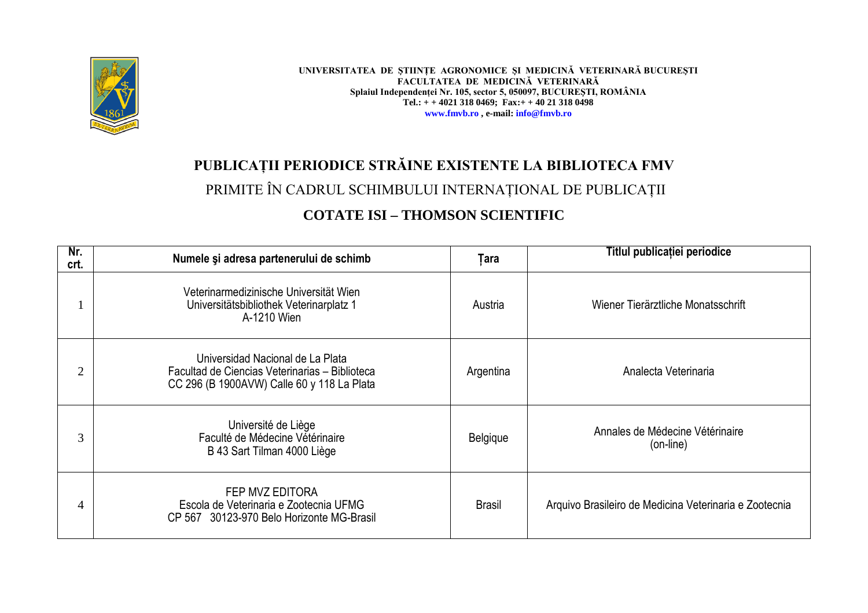

**UNIVERSITATEA DE ŞTIINŢE AGRONOMICE ŞI MEDICINĂ VETERINARĂ BUCUREŞTI FACULTATEA DE MEDICINĂ VETERINARĂ Splaiul Independenţei Nr. 105, sector 5, 050097, BUCUREŞTI, ROMÂNIA Tel.: + + 4021 318 0469; Fax:+ + 40 21 318 0498 www.fmvb.ro , e-mail: info@fmvb.ro**

## **PUBLICAŢII PERIODICE STRĂINE EXISTENTE LA BIBLIOTECA FMV**

### PRIMITE ÎN CADRUL SCHIMBULUI INTERNAŢIONAL DE PUBLICAŢII

#### **COTATE ISI – THOMSON SCIENTIFIC**

| Nr.<br>crt. | Numele și adresa partenerului de schimb                                                                                          | Tara          | Titlul publicației periodice                           |
|-------------|----------------------------------------------------------------------------------------------------------------------------------|---------------|--------------------------------------------------------|
|             | Veterinarmedizinische Universität Wien<br>Universitätsbibliothek Veterinarplatz 1<br>A-1210 Wien                                 | Austria       | Wiener Tierärztliche Monatsschrift                     |
| 2           | Universidad Nacional de La Plata<br>Facultad de Ciencias Veterinarias - Biblioteca<br>CC 296 (B 1900AVW) Calle 60 y 118 La Plata | Argentina     | Analecta Veterinaria                                   |
| 3           | Université de Liège<br>Faculté de Médecine Vétérinaire<br>B 43 Sart Tilman 4000 Liège                                            | Belgique      | Annales de Médecine Vétérinaire<br>(on-line)           |
| 4           | FEP MVZ EDITORA<br>Escola de Veterinaria e Zootecnia UFMG<br>CP 567 30123-970 Belo Horizonte MG-Brasil                           | <b>Brasil</b> | Arquivo Brasileiro de Medicina Veterinaria e Zootecnia |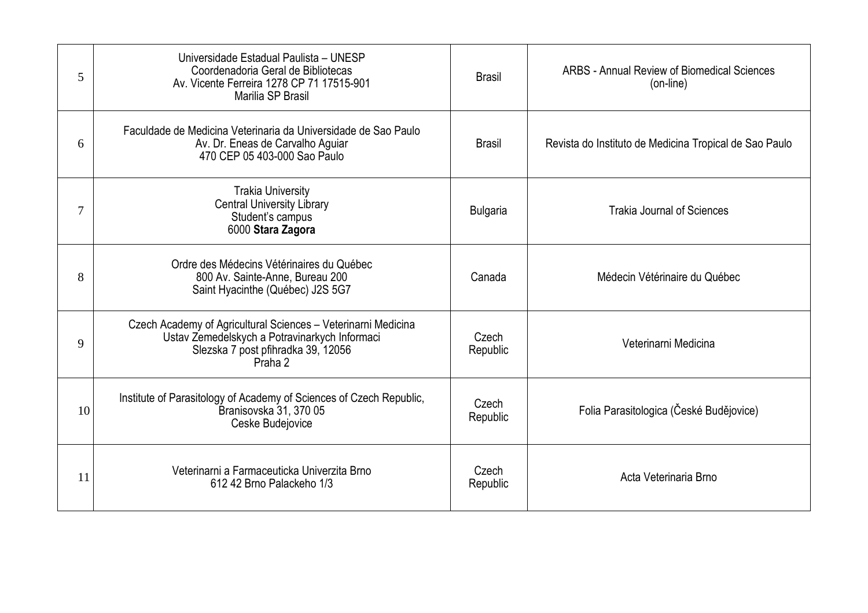| 5  | Universidade Estadual Paulista - UNESP<br>Coordenadoria Geral de Bibliotecas<br>Av. Vicente Ferreira 1278 CP 71 17515-901<br>Marilia SP Brasil                  | <b>Brasil</b>     | <b>ARBS - Annual Review of Biomedical Sciences</b><br>(on-line) |
|----|-----------------------------------------------------------------------------------------------------------------------------------------------------------------|-------------------|-----------------------------------------------------------------|
| 6  | Faculdade de Medicina Veterinaria da Universidade de Sao Paulo<br>Av. Dr. Eneas de Carvalho Aguiar<br>470 CEP 05 403-000 Sao Paulo                              | <b>Brasil</b>     | Revista do Instituto de Medicina Tropical de Sao Paulo          |
| 7  | <b>Trakia University</b><br><b>Central University Library</b><br>Student's campus<br>6000 Stara Zagora                                                          | <b>Bulgaria</b>   | <b>Trakia Journal of Sciences</b>                               |
| 8  | Ordre des Médecins Vétérinaires du Québec<br>800 Av. Sainte-Anne, Bureau 200<br>Saint Hyacinthe (Québec) J2S 5G7                                                | Canada            | Médecin Vétérinaire du Québec                                   |
| 9  | Czech Academy of Agricultural Sciences - Veterinarni Medicina<br>Ustav Zemedelskych a Potravinarkych Informaci<br>Slezska 7 post pfihradka 39, 12056<br>Praha 2 | Czech<br>Republic | Veterinarni Medicina                                            |
| 10 | Institute of Parasitology of Academy of Sciences of Czech Republic,<br>Branisovska 31, 370 05<br>Ceske Budejovice                                               | Czech<br>Republic | Folia Parasitologica (České Budějovice)                         |
| 11 | Veterinarni a Farmaceuticka Univerzita Brno<br>612 42 Brno Palackeho 1/3                                                                                        | Czech<br>Republic | Acta Veterinaria Brno                                           |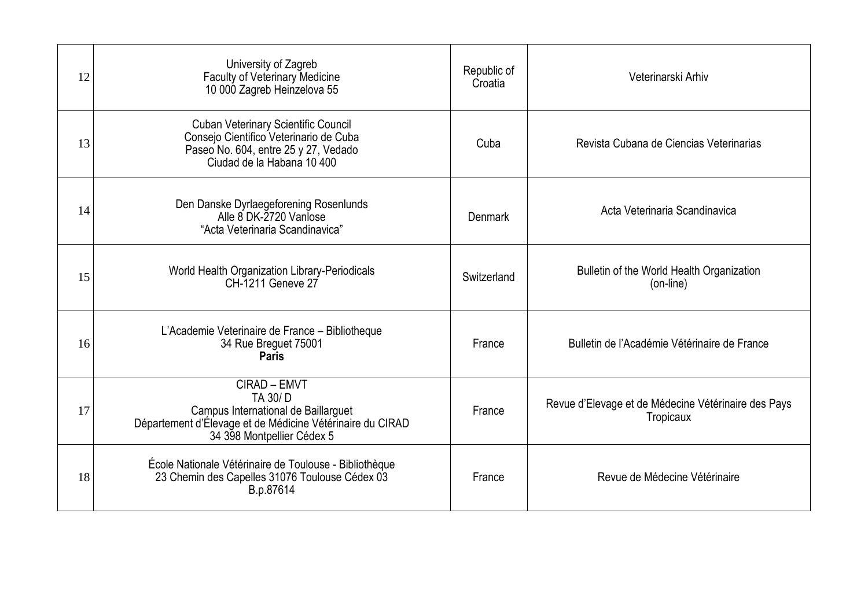| 12 | University of Zagreb<br><b>Faculty of Veterinary Medicine</b><br>10 000 Zagreb Heinzelova 55                                                               | Republic of<br>Croatia | Veterinarski Arhiv                                               |
|----|------------------------------------------------------------------------------------------------------------------------------------------------------------|------------------------|------------------------------------------------------------------|
| 13 | <b>Cuban Veterinary Scientific Council</b><br>Consejo Cientifico Veterinario de Cuba<br>Paseo No. 604, entre 25 y 27, Vedado<br>Ciudad de la Habana 10 400 | Cuba                   | Revista Cubana de Ciencias Veterinarias                          |
| 14 | Den Danske Dyrlaegeforening Rosenlunds<br>Alle 8 DK-2720 Vanlose<br>"Acta Veterinaria Scandinavica"                                                        | <b>Denmark</b>         | Acta Veterinaria Scandinavica                                    |
| 15 | World Health Organization Library-Periodicals<br>CH-1211 Geneve 27                                                                                         | Switzerland            | Bulletin of the World Health Organization<br>(on-line)           |
| 16 | L'Academie Veterinaire de France - Bibliotheque<br>34 Rue Breguet 75001<br><b>Paris</b>                                                                    | France                 | Bulletin de l'Académie Vétérinaire de France                     |
| 17 | CIRAD - EMVT<br>TA 30/D<br>Campus International de Baillarguet<br>Département d'Élevage et de Médicine Vétérinaire du CIRAD<br>34 398 Montpellier Cédex 5  | France                 | Revue d'Elevage et de Médecine Vétérinaire des Pays<br>Tropicaux |
| 18 | École Nationale Vétérinaire de Toulouse - Bibliothèque<br>23 Chemin des Capelles 31076 Toulouse Cédex 03<br>B.p.87614                                      | France                 | Revue de Médecine Vétérinaire                                    |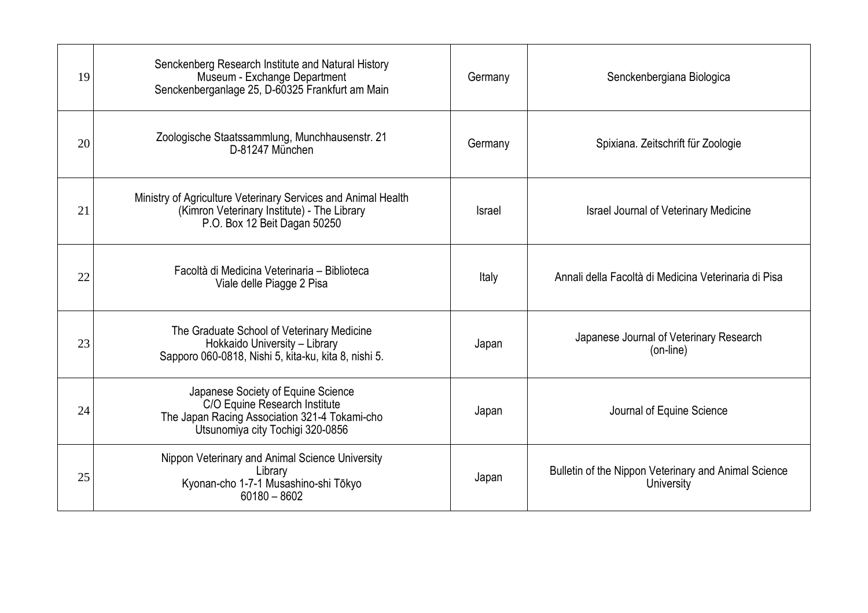| 19 | Senckenberg Research Institute and Natural History<br>Museum - Exchange Department<br>Senckenberganlage 25, D-60325 Frankfurt am Main                    | Germany | Senckenbergiana Biologica                                          |
|----|----------------------------------------------------------------------------------------------------------------------------------------------------------|---------|--------------------------------------------------------------------|
| 20 | Zoologische Staatssammlung, Munchhausenstr. 21<br>D-81247 München                                                                                        | Germany | Spixiana. Zeitschrift für Zoologie                                 |
| 21 | Ministry of Agriculture Veterinary Services and Animal Health<br>(Kimron Veterinary Institute) - The Library<br>P.O. Box 12 Beit Dagan 50250             | Israel  | <b>Israel Journal of Veterinary Medicine</b>                       |
| 22 | Facoltà di Medicina Veterinaria – Biblioteca<br>Viale delle Piagge 2 Pisa                                                                                | Italy   | Annali della Facoltà di Medicina Veterinaria di Pisa               |
| 23 | The Graduate School of Veterinary Medicine<br>Hokkaido University - Library<br>Sapporo 060-0818, Nishi 5, kita-ku, kita 8, nishi 5.                      | Japan   | Japanese Journal of Veterinary Research<br>(on-line)               |
| 24 | Japanese Society of Equine Science<br>C/O Equine Research Institute<br>The Japan Racing Association 321-4 Tokami-cho<br>Utsunomiya city Tochigi 320-0856 | Japan   | Journal of Equine Science                                          |
| 25 | Nippon Veterinary and Animal Science University<br>Library<br>Kyonan-cho 1-7-1 Musashino-shi Tōkyo<br>$60180 - 8602$                                     | Japan   | Bulletin of the Nippon Veterinary and Animal Science<br>University |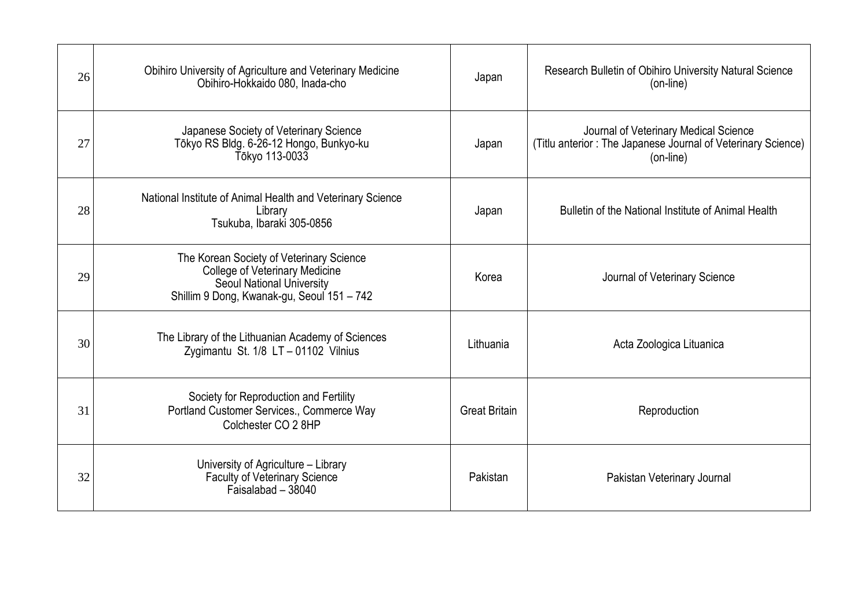| 26 | Obihiro University of Agriculture and Veterinary Medicine<br>Obihiro-Hokkaido 080, Inada-cho                                                                 | Japan                | Research Bulletin of Obihiro University Natural Science<br>(on-line)                                               |
|----|--------------------------------------------------------------------------------------------------------------------------------------------------------------|----------------------|--------------------------------------------------------------------------------------------------------------------|
| 27 | Japanese Society of Veterinary Science<br>Tōkyo RS Bldg. 6-26-12 Hongo, Bunkyo-ku<br>Tōkyo RS Bldg. 6-26-12 Hongo, Bunkyo-ku                                 | Japan                | Journal of Veterinary Medical Science<br>(Titlu anterior: The Japanese Journal of Veterinary Science)<br>(on-line) |
| 28 | National Institute of Animal Health and Veterinary Science<br>Library<br>Tsukuba, Ibaraki 305-0856                                                           | Japan                | Bulletin of the National Institute of Animal Health                                                                |
| 29 | The Korean Society of Veterinary Science<br><b>College of Veterinary Medicine</b><br>Seoul National University<br>Shillim 9 Dong, Kwanak-gu, Seoul 151 - 742 | Korea                | Journal of Veterinary Science                                                                                      |
| 30 | The Library of the Lithuanian Academy of Sciences<br>Zygimantu St. 1/8 LT - 01102 Vilnius                                                                    | Lithuania            | Acta Zoologica Lituanica                                                                                           |
| 31 | Society for Reproduction and Fertility<br>Portland Customer Services., Commerce Way<br>Colchester CO 2 8HP                                                   | <b>Great Britain</b> | Reproduction                                                                                                       |
| 32 | University of Agriculture - Library<br>Faculty of Veterinary Science<br>Faisalabad - 38040                                                                   | Pakistan             | Pakistan Veterinary Journal                                                                                        |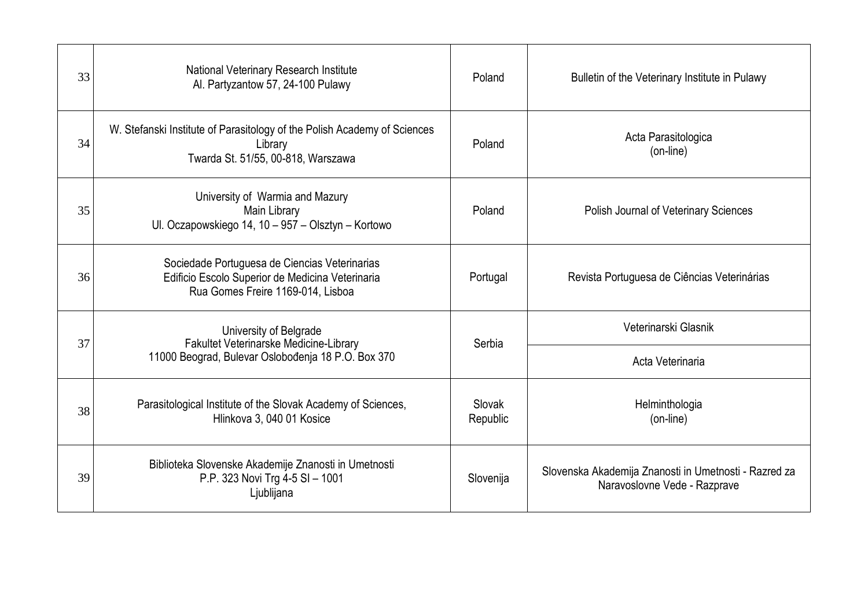| 33 | National Veterinary Research Institute<br>Al. Partyzantow 57, 24-100 Pulawy                                                            | Poland             | Bulletin of the Veterinary Institute in Pulawy                                        |                  |
|----|----------------------------------------------------------------------------------------------------------------------------------------|--------------------|---------------------------------------------------------------------------------------|------------------|
| 34 | W. Stefanski Institute of Parasitology of the Polish Academy of Sciences<br>Library<br>Twarda St. 51/55, 00-818, Warszawa              | Poland             | Acta Parasitologica<br>(on-line)                                                      |                  |
| 35 | University of Warmia and Mazury<br>Main Library<br>Ul. Oczapowskiego 14, 10 - 957 - Olsztyn - Kortowo                                  | Poland             | Polish Journal of Veterinary Sciences                                                 |                  |
| 36 | Sociedade Portuguesa de Ciencias Veterinarias<br>Edificio Escolo Superior de Medicina Veterinaria<br>Rua Gomes Freire 1169-014, Lisboa | Portugal           | Revista Portuguesa de Ciências Veterinárias                                           |                  |
| 37 | University of Belgrade<br>Fakultet Veterinarske Medicine-Library                                                                       |                    | Veterinarski Glasnik                                                                  |                  |
|    | 11000 Beograd, Bulevar Oslobođenja 18 P.O. Box 370                                                                                     | Serbia             |                                                                                       | Acta Veterinaria |
| 38 | Parasitological Institute of the Slovak Academy of Sciences,<br>Hlinkova 3, 040 01 Kosice                                              | Slovak<br>Republic | Helminthologia<br>(on-line)                                                           |                  |
| 39 | Biblioteka Slovenske Akademije Znanosti in Umetnosti<br>P.P. 323 Novi Trg 4-5 SI - 1001<br>Ljublijana                                  | Slovenija          | Slovenska Akademija Znanosti in Umetnosti - Razred za<br>Naravoslovne Vede - Razprave |                  |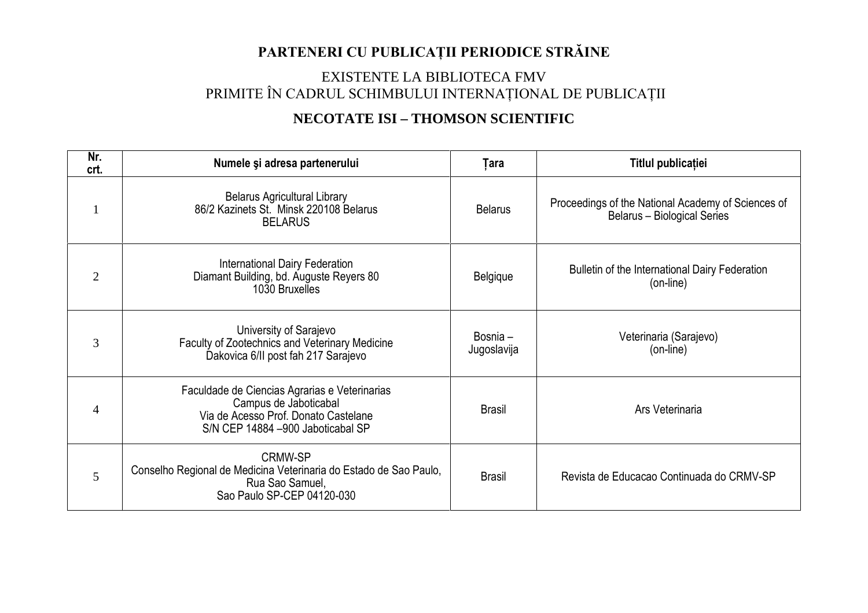### **PARTENERI CU PUBLICAŢII PERIODICE STRĂINE**

#### EXISTENTE LA BIBLIOTECA FMV PRIMITE ÎN CADRUL SCHIMBULUI INTERNAŢIONAL DE PUBLICAŢII

#### **NECOTATE ISI – THOMSON SCIENTIFIC**

| Nr.<br>crt.    | Numele și adresa partenerului                                                                                                                       | Țara                    | Titlul publicației                                                                       |  |
|----------------|-----------------------------------------------------------------------------------------------------------------------------------------------------|-------------------------|------------------------------------------------------------------------------------------|--|
|                | <b>Belarus Agricultural Library</b><br>86/2 Kazinets St. Minsk 220108 Belarus<br><b>BELARUS</b>                                                     | <b>Belarus</b>          | Proceedings of the National Academy of Sciences of<br><b>Belarus - Biological Series</b> |  |
| $\overline{2}$ | <b>International Dairy Federation</b><br>Diamant Building, bd. Auguste Reyers 80<br>1030 Bruxelles                                                  | <b>Belgique</b>         | Bulletin of the International Dairy Federation<br>(on-line)                              |  |
| 3              | University of Sarajevo<br>Faculty of Zootechnics and Veterinary Medicine<br>Dakovica 6/II post fah 217 Sarajevo                                     | Bosnia -<br>Jugoslavija | Veterinaria (Sarajevo)<br>(on-line)                                                      |  |
| 4              | Faculdade de Ciencias Agrarias e Veterinarias<br>Campus de Jaboticabal<br>Via de Acesso Prof. Donato Castelane<br>S/N CEP 14884 -900 Jaboticabal SP | <b>Brasil</b>           | Ars Veterinaria                                                                          |  |
| 5              | <b>CRMW-SP</b><br>Conselho Regional de Medicina Veterinaria do Estado de Sao Paulo,<br>Rua Sao Samuel,<br>Sao Paulo SP-CEP 04120-030                | <b>Brasil</b>           | Revista de Educacao Continuada do CRMV-SP                                                |  |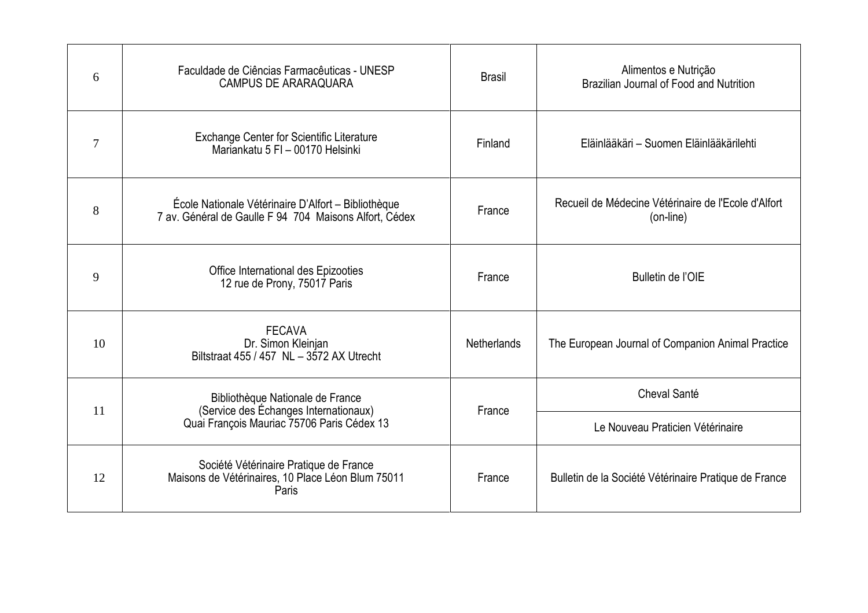| 6  | Faculdade de Ciências Farmacêuticas - UNESP<br><b>CAMPUS DE ARARAQUARA</b>                                              | <b>Brasil</b>      | Alimentos e Nutrição<br>Brazilian Journal of Food and Nutrition  |
|----|-------------------------------------------------------------------------------------------------------------------------|--------------------|------------------------------------------------------------------|
| 7  | <b>Exchange Center for Scientific Literature</b><br>Mariankatu 5 FI - 00170 Helsinki                                    | Finland            | Eläinlääkäri – Suomen Eläinlääkärilehti                          |
| 8  | École Nationale Vétérinaire D'Alfort - Bibliothèque<br>7 av. Général de Gaulle F 94 704 Maisons Alfort, Cédex           | France             | Recueil de Médecine Vétérinaire de l'Ecole d'Alfort<br>(on-line) |
| 9  | Office International des Epizooties<br>12 rue de Prony, 75017 Paris                                                     | France             | Bulletin de l'OIE                                                |
| 10 | <b>FECAVA</b><br>Dr. Simon Kleinjan<br>Biltstraat 455 / 457 NL - 3572 AX Utrecht                                        | <b>Netherlands</b> | The European Journal of Companion Animal Practice                |
|    | Bibliothèque Nationale de France<br>(Service des Échanges Internationaux)<br>Quai François Mauriac 75706 Paris Cédex 13 |                    | Cheval Santé                                                     |
| 11 |                                                                                                                         | France             | Le Nouveau Praticien Vétérinaire                                 |
| 12 | Société Vétérinaire Pratique de France<br>Maisons de Vétérinaires, 10 Place Léon Blum 75011<br>Paris                    | France             | Bulletin de la Société Vétérinaire Pratique de France            |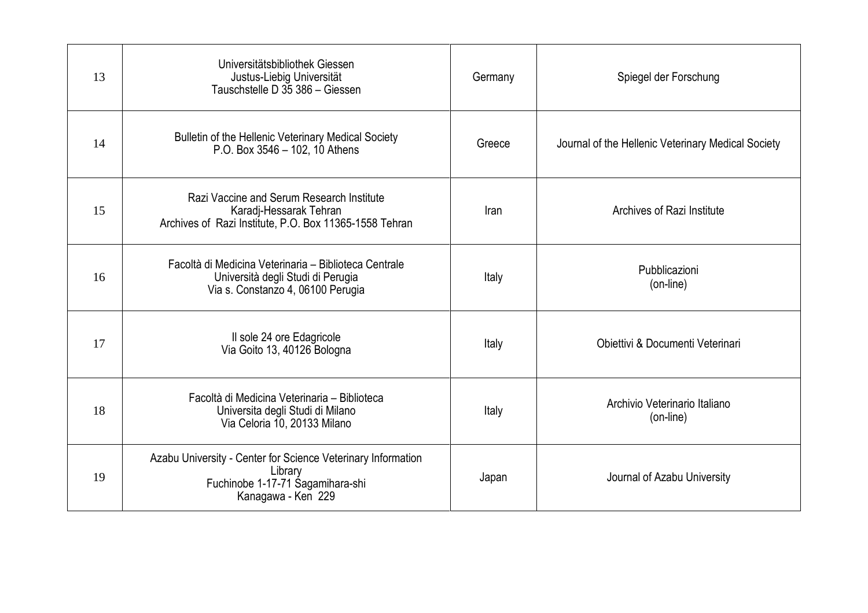| 13 | Universitätsbibliothek Giessen<br>Justus-Liebig Universität<br>Tauschstelle D 35 386 - Giessen                                    | Germany | Spiegel der Forschung                              |
|----|-----------------------------------------------------------------------------------------------------------------------------------|---------|----------------------------------------------------|
| 14 | Bulletin of the Hellenic Veterinary Medical Society<br>P.O. Box $3546 - 102$ , 10 Athens                                          | Greece  | Journal of the Hellenic Veterinary Medical Society |
| 15 | Razi Vaccine and Serum Research Institute<br>Karadj-Hessarak Tehran<br>Archives of Razi Institute, P.O. Box 11365-1558 Tehran     | Iran    | Archives of Razi Institute                         |
| 16 | Facoltà di Medicina Veterinaria – Biblioteca Centrale<br>Università degli Studi di Perugia<br>Via s. Constanzo 4, 06100 Perugia   | Italy   | Pubblicazioni<br>(on-line)                         |
| 17 | Il sole 24 ore Edagricole<br>Via Goito 13, 40126 Bologna                                                                          | Italy   | Obiettivi & Documenti Veterinari                   |
| 18 | Facoltà di Medicina Veterinaria - Biblioteca<br>Universita degli Studi di Milano<br>Via Celoria 10, 20133 Milano                  | Italy   | Archivio Veterinario Italiano<br>(on-line)         |
| 19 | Azabu University - Center for Science Veterinary Information<br>Library<br>Fuchinobe 1-17-71 Sagamihara-shi<br>Kanagawa - Ken 229 | Japan   | Journal of Azabu University                        |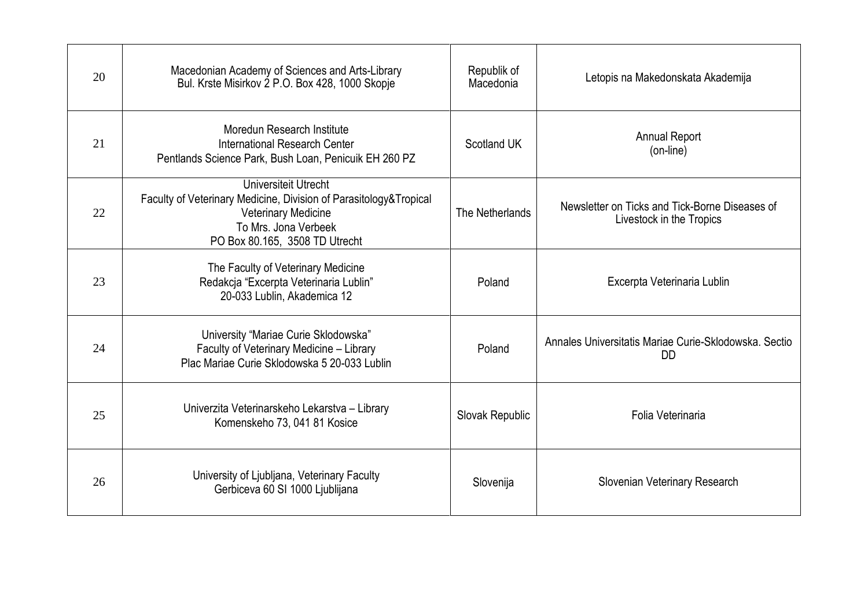| 20 | Macedonian Academy of Sciences and Arts-Library<br>Bul. Krste Misirkov 2 P.O. Box 428, 1000 Skopje                                                                                | Republik of<br>Macedonia | Letopis na Makedonskata Akademija                                          |  |
|----|-----------------------------------------------------------------------------------------------------------------------------------------------------------------------------------|--------------------------|----------------------------------------------------------------------------|--|
| 21 | Moredun Research Institute<br>International Research Center<br>Pentlands Science Park, Bush Loan, Penicuik EH 260 PZ                                                              | Scotland UK              | <b>Annual Report</b><br>(on-line)                                          |  |
| 22 | Universiteit Utrecht<br>Faculty of Veterinary Medicine, Division of Parasitology&Tropical<br><b>Veterinary Medicine</b><br>To Mrs. Jona Verbeek<br>PO Box 80.165, 3508 TD Utrecht | The Netherlands          | Newsletter on Ticks and Tick-Borne Diseases of<br>Livestock in the Tropics |  |
| 23 | The Faculty of Veterinary Medicine<br>Redakcja "Excerpta Veterinaria Lublin"<br>20-033 Lublin, Akademica 12                                                                       | Poland                   | Excerpta Veterinaria Lublin                                                |  |
| 24 | University "Mariae Curie Sklodowska"<br>Faculty of Veterinary Medicine - Library<br>Plac Mariae Curie Sklodowska 5 20-033 Lublin                                                  | Poland                   | Annales Universitatis Mariae Curie-Sklodowska, Sectio<br>DD.               |  |
| 25 | Univerzita Veterinarskeho Lekarstva - Library<br>Komenskeho 73, 041 81 Kosice                                                                                                     | Slovak Republic          | Folia Veterinaria                                                          |  |
| 26 | University of Ljubljana, Veterinary Faculty<br>Gerbiceva 60 SI 1000 Ljublijana                                                                                                    | Slovenija                | Slovenian Veterinary Research                                              |  |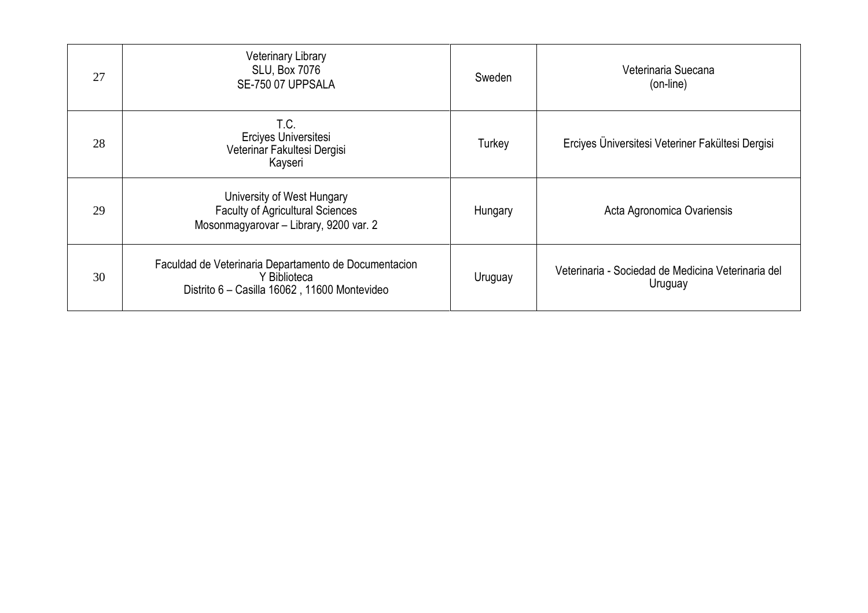| 27 | <b>Veterinary Library</b><br><b>SLU, Box 7076</b><br>SE-750 07 UPPSALA                                                | Sweden  | Veterinaria Suecana<br>(on-line)                              |
|----|-----------------------------------------------------------------------------------------------------------------------|---------|---------------------------------------------------------------|
| 28 | T.C.<br>Erciyes Universitesi<br>Veterinar Fakultesi Dergisi<br>Kayseri                                                | Turkey  | Erciyes Üniversitesi Veteriner Fakültesi Dergisi              |
| 29 | University of West Hungary<br><b>Faculty of Agricultural Sciences</b><br>Mosonmagyarovar - Library, 9200 var. 2       | Hungary | Acta Agronomica Ovariensis                                    |
| 30 | Faculdad de Veterinaria Departamento de Documentacion<br>Y Biblioteca<br>Distrito 6 - Casilla 16062, 11600 Montevideo | Uruguay | Veterinaria - Sociedad de Medicina Veterinaria del<br>Uruguay |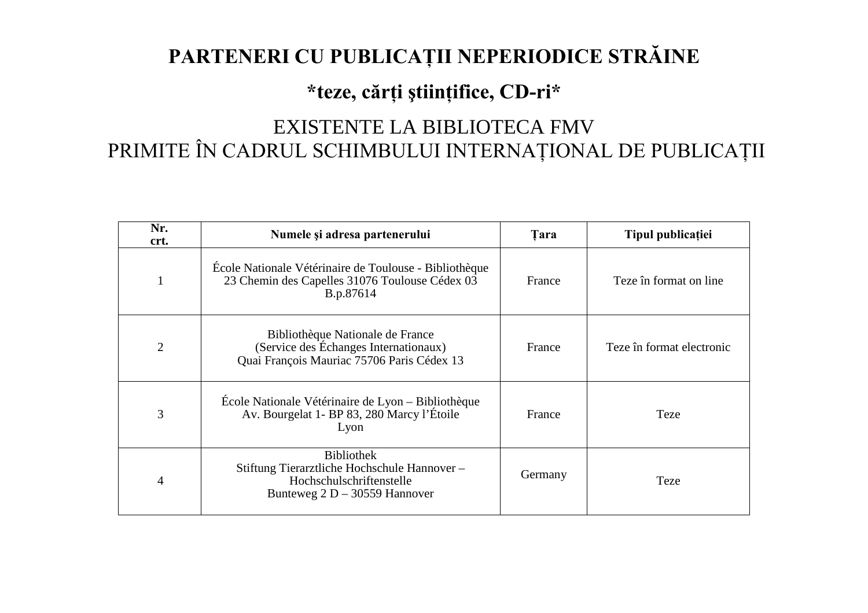# **PARTENERI CU PUBLICAŢII NEPERIODICE STRĂINE**

### **\*teze, cărţi ştiinţifice, CD-ri\***

# EXISTENTE LA BIBLIOTECA FMV PRIMITE ÎN CADRUL SCHIMBULUI INTERNAŢIONAL DE PUBLICAŢII

| Nr.<br>crt.    | Numele și adresa partenerului                                                                                                   | <b>Tara</b> | Tipul publicației         |
|----------------|---------------------------------------------------------------------------------------------------------------------------------|-------------|---------------------------|
|                | École Nationale Vétérinaire de Toulouse - Bibliothèque<br>23 Chemin des Capelles 31076 Toulouse Cédex 03<br>B.p.87614           | France      | Teze în format on line.   |
| $\overline{2}$ | Bibliothèque Nationale de France<br>(Service des Échanges Internationaux)<br>Quai François Mauriac 75706 Paris Cédex 13         | France      | Teze în format electronic |
| 3              | École Nationale Vétérinaire de Lyon – Bibliothèque<br>Av. Bourgelat 1- BP 83, 280 Marcy l'Étoile<br>Lyon                        | France      | Teze                      |
| 4              | <b>Bibliothek</b><br>Stiftung Tierarztliche Hochschule Hannover-<br>Hochschulschriftenstelle<br>Bunteweg $2 D - 30559$ Hannover | Germany     | Teze                      |